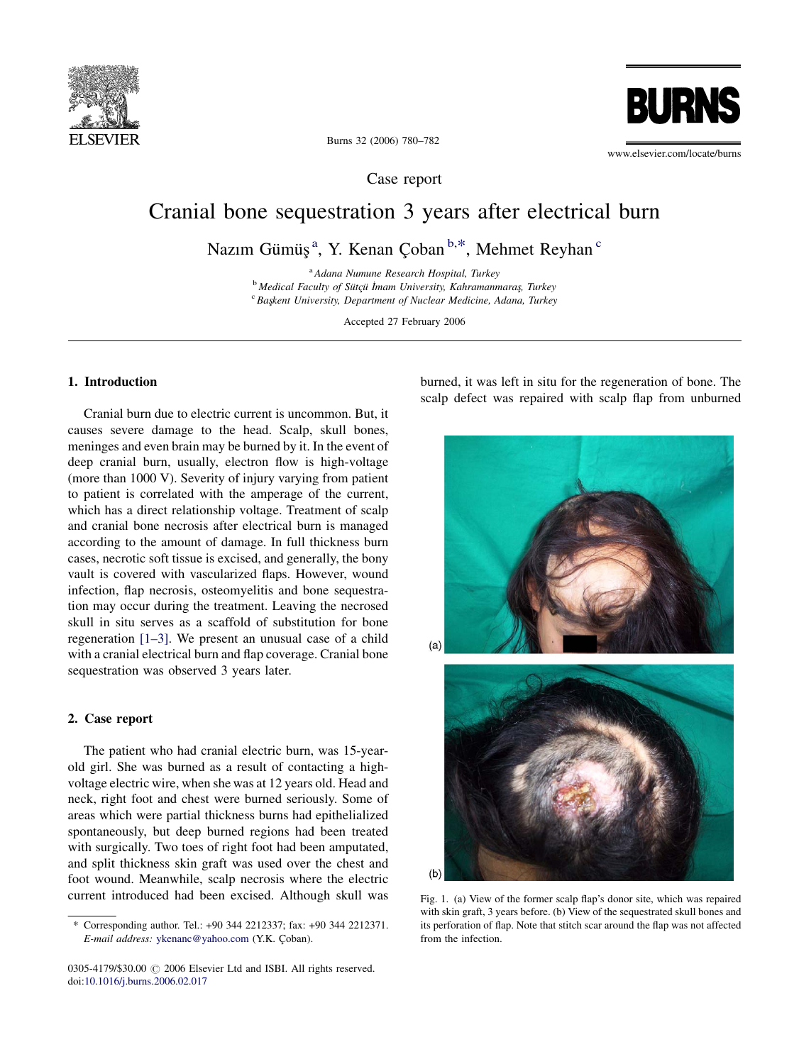<span id="page-0-0"></span>



Burns 32 (2006) 780–782

Case report

# Cranial bone sequestration 3 years after electrical burn

Nazım Gümüş<sup>a</sup>, Y. Kenan Çoban <sup>b,\*</sup>, Mehmet Reyhan <sup>c</sup>

<sup>a</sup> Adana Numune Research Hospital, Turkey  $\sigma^b$  Medical Faculty of Sütçü İmam University, Kahramanmaraş, Turkey Casteau University, Department of Nuclear Medicine, Adapa, Turkey  ${}^c$  Başkent University, Department of Nuclear Medicine, Adana, Turkey

Accepted 27 February 2006

# 1. Introduction

Cranial burn due to electric current is uncommon. But, it causes severe damage to the head. Scalp, skull bones, meninges and even brain may be burned by it. In the event of deep cranial burn, usually, electron flow is high-voltage (more than 1000 V). Severity of injury varying from patient to patient is correlated with the amperage of the current, which has a direct relationship voltage. Treatment of scalp and cranial bone necrosis after electrical burn is managed according to the amount of damage. In full thickness burn cases, necrotic soft tissue is excised, and generally, the bony vault is covered with vascularized flaps. However, wound infection, flap necrosis, osteomyelitis and bone sequestration may occur during the treatment. Leaving the necrosed skull in situ serves as a scaffold of substitution for bone regeneration [\[1–3\].](#page-2-0) We present an unusual case of a child with a cranial electrical burn and flap coverage. Cranial bone sequestration was observed 3 years later.

#### 2. Case report

The patient who had cranial electric burn, was 15-yearold girl. She was burned as a result of contacting a highvoltage electric wire, when she was at 12 years old. Head and neck, right foot and chest were burned seriously. Some of areas which were partial thickness burns had epithelialized spontaneously, but deep burned regions had been treated with surgically. Two toes of right foot had been amputated, and split thickness skin graft was used over the chest and foot wound. Meanwhile, scalp necrosis where the electric current introduced had been excised. Although skull was burned, it was left in situ for the regeneration of bone. The scalp defect was repaired with scalp flap from unburned



Fig. 1. (a) View of the former scalp flap's donor site, which was repaired with skin graft, 3 years before. (b) View of the sequestrated skull bones and its perforation of flap. Note that stitch scar around the flap was not affected from the infection.

<sup>\*</sup> Corresponding author. Tel.: +90 344 2212337; fax: +90 344 2212371. E-mail address: [ykenanc@yahoo.com](mailto:ykenanc@yahoo.com) (Y.K. Çoban).

<sup>0305-4179/\$30.00</sup>  $\odot$  2006 Elsevier Ltd and ISBI. All rights reserved. doi[:10.1016/j.burns.2006.02.017](http://dx.doi.org/10.1016/j.burns.2006.02.017)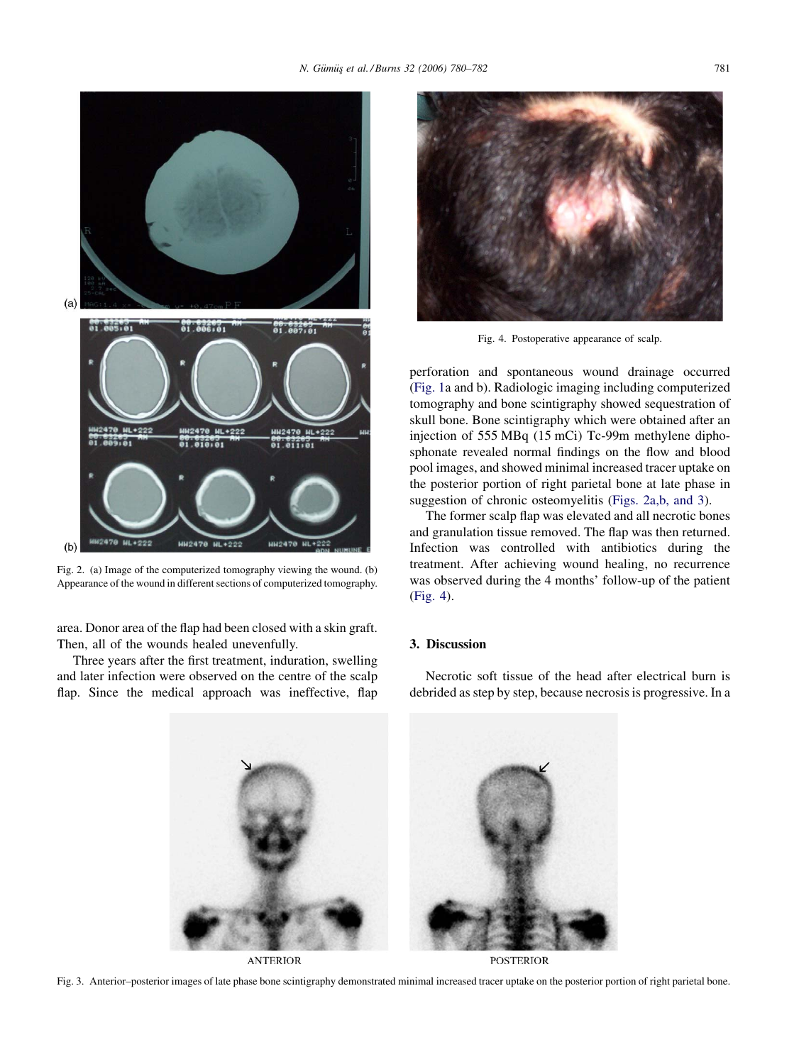

Fig. 2. (a) Image of the computerized tomography viewing the wound. (b) Appearance of the wound in different sections of computerized tomography.

area. Donor area of the flap had been closed with a skin graft. Then, all of the wounds healed unevenfully.

Three years after the first treatment, induration, swelling and later infection were observed on the centre of the scalp flap. Since the medical approach was ineffective, flap



Fig. 4. Postoperative appearance of scalp.

perforation and spontaneous wound drainage occurred ([Fig. 1a](#page-0-0) and b). Radiologic imaging including computerized tomography and bone scintigraphy showed sequestration of skull bone. Bone scintigraphy which were obtained after an injection of 555 MBq (15 mCi) Tc-99m methylene diphosphonate revealed normal findings on the flow and blood pool images, and showed minimal increased tracer uptake on the posterior portion of right parietal bone at late phase in suggestion of chronic osteomyelitis (Figs. 2a,b, and 3).

The former scalp flap was elevated and all necrotic bones and granulation tissue removed. The flap was then returned. Infection was controlled with antibiotics during the treatment. After achieving wound healing, no recurrence was observed during the 4 months' follow-up of the patient (Fig. 4).

## 3. Discussion

Necrotic soft tissue of the head after electrical burn is debrided as step by step, because necrosis is progressive. In a



**ANTERIOR** 

**POSTERIOR**